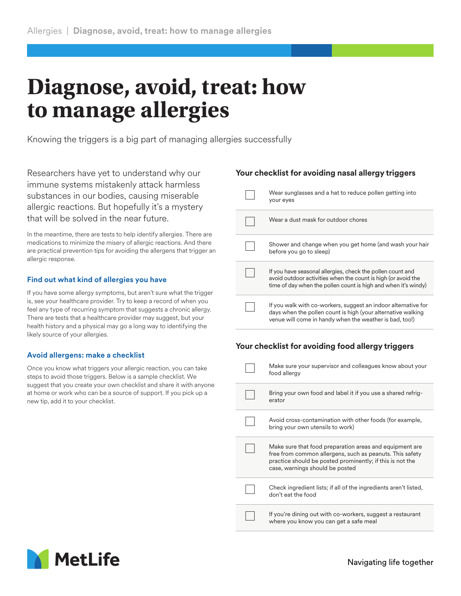# **Diagnose, avoid, treat: how to manage allergies**

Knowing the triggers is a big part of managing allergies successfully

Researchers have yet to understand why our immune systems mistakenly attack harmless substances in our bodies, causing miserable allergic reactions. But hopefully it's a mystery that will be solved in the near future.

In the meantime, there are tests to help identify allergies. There are medications to minimize the misery of allergic reactions. And there are practical prevention tips for avoiding the allergens that trigger an allergic response.

## **Find out what kind of allergies you have**

If you have some allergy symptoms, but aren't sure what the trigger is, see your healthcare provider. Try to keep a record of when you feel any type of recurring symptom that suggests a chronic allergy. There are tests that a healthcare provider may suggest, but your health history and a physical may go a long way to identifying the likely source of your allergies.

## **Avoid allergens: make a checklist**

Once you know what triggers your allergic reaction, you can take steps to avoid those triggers. Below is a sample checklist. We suggest that you create your own checklist and share it with anyone at home or work who can be a source of support. If you pick up a new tip, add it to your checklist.

## **Your checklist for avoiding nasal allergy triggers**

| Wear sunglasses and a hat to reduce pollen getting into<br>your eyes                                                                                                                          |
|-----------------------------------------------------------------------------------------------------------------------------------------------------------------------------------------------|
| Wear a dust mask for outdoor chores                                                                                                                                                           |
| Shower and change when you get home (and wash your hair<br>before you go to sleep)                                                                                                            |
| If you have seasonal allergies, check the pollen count and<br>avoid outdoor activities when the count is high (or avoid the<br>time of day when the pollen count is high and when it's windy) |
| If you walk with co-workers, suggest an indoor alternative for<br>days when the pollen count is high (your alternative walking<br>venue will come in handy when the weather is bad, too!)     |

## **Your checklist for avoiding food allergy triggers**

| Make sure your supervisor and colleagues know about your<br>food allergy                                                                                                                                            |
|---------------------------------------------------------------------------------------------------------------------------------------------------------------------------------------------------------------------|
| Bring your own food and label it if you use a shared refrig-<br>erator                                                                                                                                              |
| Avoid cross-contamination with other foods (for example,<br>bring your own utensils to work)                                                                                                                        |
| Make sure that food preparation areas and equipment are<br>free from common allergens, such as peanuts. This safety<br>practice should be posted prominently; if this is not the<br>case, warnings should be posted |
| Check ingredient lists; if all of the ingredients aren't listed,<br>don't eat the food                                                                                                                              |
| If you're dining out with co-workers, suggest a restaurant<br>where you know you can get a safe meal                                                                                                                |